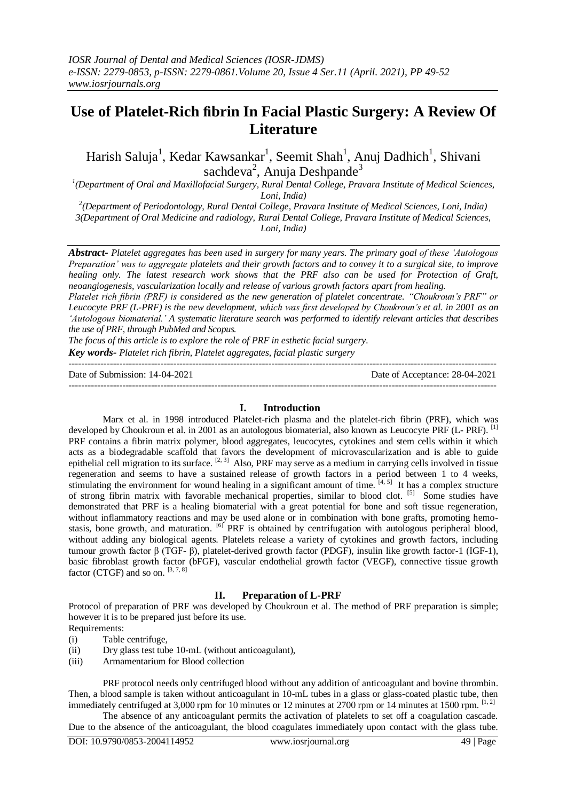# **Use of Platelet-Rich fibrin In Facial Plastic Surgery: A Review Of Literature**

Harish Saluja<sup>1</sup>, Kedar Kawsankar<sup>1</sup>, Seemit Shah<sup>1</sup>, Anuj Dadhich<sup>1</sup>, Shivani sachdeva<sup>2</sup>, Anuja Deshpande<sup>3</sup>

*1 (Department of Oral and Maxillofacial Surgery, Rural Dental College, Pravara Institute of Medical Sciences, Loni, India)*

*2 (Department of Periodontology, Rural Dental College, Pravara Institute of Medical Sciences, Loni, India) 3(Department of Oral Medicine and radiology, Rural Dental College, Pravara Institute of Medical Sciences, Loni, India)*

*Abstract- Platelet aggregates has been used in surgery for many years. The primary goal of these 'Autologous Preparation' was to aggregate platelets and their growth factors and to convey it to a surgical site, to improve healing only. The latest research work shows that the PRF also can be used for Protection of Graft, neoangiogenesis, vascularization locally and release of various growth factors apart from healing.*

*Platelet rich fibrin (PRF) is considered as the new generation of platelet concentrate. "Choukroun's PRF" or Leucocyte PRF (L-PRF) is the new development, which was first developed by Choukroun's et al. in 2001 as an 'Autologous biomaterial.' A systematic literature search was performed to identify relevant articles that describes the use of PRF, through PubMed and Scopus.* 

*The focus of this article is to explore the role of PRF in esthetic facial surgery.* 

*Key words- Platelet rich fibrin, Platelet aggregates, facial plastic surgery*

--------------------------------------------------------------------------------------------------------------------------------------- Date of Submission: 14-04-2021 Date of Acceptance: 28-04-2021

#### **I. Introduction**

---------------------------------------------------------------------------------------------------------------------------------------

Marx et al. in 1998 introduced Platelet-rich plasma and the platelet-rich fibrin (PRF), which was developed by Choukroun et al. in 2001 as an autologous biomaterial, also known as Leucocyte PRF (L- PRF). <sup>[1]</sup> PRF contains a fibrin matrix polymer, blood aggregates, leucocytes, cytokines and stem cells within it which acts as a biodegradable scaffold that favors the development of microvascularization and is able to guide epithelial cell migration to its surface.  $[2, 3]$  Also, PRF may serve as a medium in carrying cells involved in tissue regeneration and seems to have a sustained release of growth factors in a period between 1 to 4 weeks, stimulating the environment for wound healing in a significant amount of time.  $[4, 5]$  It has a complex structure of strong fibrin matrix with favorable mechanical properties, similar to blood clot. [5] Some studies have demonstrated that PRF is a healing biomaterial with a great potential for bone and soft tissue regeneration, without inflammatory reactions and may be used alone or in combination with bone grafts, promoting hemostasis, bone growth, and maturation. <sup>[6]</sup> PRF is obtained by centrifugation with autologous peripheral blood, without adding any biological agents. Platelets release a variety of cytokines and growth factors, including tumour growth factor β (TGF- β), platelet-derived growth factor (PDGF), insulin like growth factor-1 (IGF-1), basic fibroblast growth factor (bFGF), vascular endothelial growth factor (VEGF), connective tissue growth factor (CTGF) and so on.  $[3, 7, 8]$ 

## **II. Preparation of L-PRF**

Protocol of preparation of PRF was developed by Choukroun et al. The method of PRF preparation is simple; however it is to be prepared just before its use.

Requirements:

(i) Table centrifuge,

(ii) Dry glass test tube 10-mL (without anticoagulant),

(iii) Armamentarium for Blood collection

PRF protocol needs only centrifuged blood without any addition of anticoagulant and bovine thrombin. Then, a blood sample is taken without anticoagulant in 10-mL tubes in a glass or glass-coated plastic tube, then immediately centrifuged at 3,000 rpm for 10 minutes or 12 minutes at 2700 rpm or 14 minutes at 1500 rpm. [1, 2]

The absence of any anticoagulant permits the activation of platelets to set off a coagulation cascade. Due to the absence of the anticoagulant, the blood coagulates immediately upon contact with the glass tube.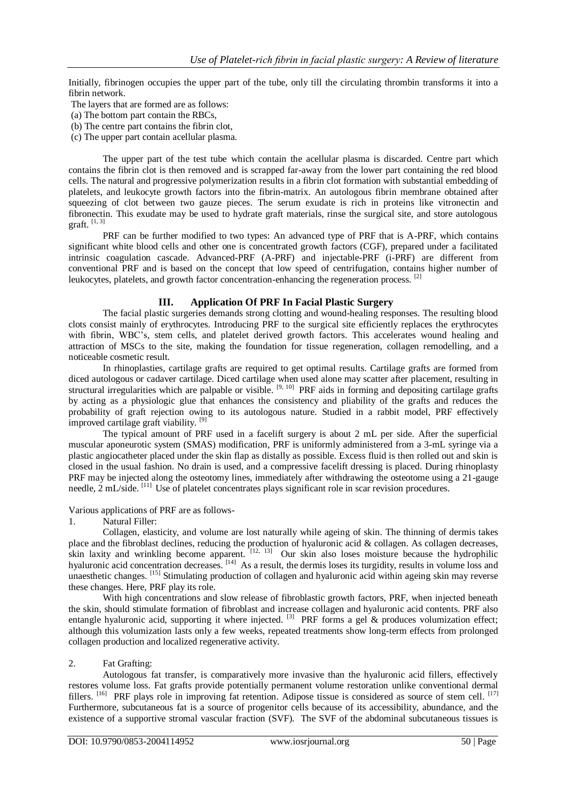Initially, fibrinogen occupies the upper part of the tube, only till the circulating thrombin transforms it into a fibrin network.

The layers that are formed are as follows:

- (a) The bottom part contain the RBCs,
- (b) The centre part contains the fibrin clot,
- (c) The upper part contain acellular plasma.

The upper part of the test tube which contain the acellular plasma is discarded. Centre part which contains the fibrin clot is then removed and is scrapped far-away from the lower part containing the red blood cells. The natural and progressive polymerization results in a fibrin clot formation with substantial embedding of platelets, and leukocyte growth factors into the fibrin-matrix. An autologous fibrin membrane obtained after squeezing of clot between two gauze pieces. The serum exudate is rich in proteins like vitronectin and fibronectin. This exudate may be used to hydrate graft materials, rinse the surgical site, and store autologous graft. [1, 3]

PRF can be further modified to two types: An advanced type of PRF that is A-PRF, which contains significant white blood cells and other one is concentrated growth factors (CGF), prepared under a facilitated intrinsic coagulation cascade. Advanced-PRF (A-PRF) and injectable-PRF (i-PRF) are different from conventional PRF and is based on the concept that low speed of centrifugation, contains higher number of leukocytes, platelets, and growth factor concentration-enhancing the regeneration process.  $^{[2]}$ 

#### **III. Application Of PRF In Facial Plastic Surgery**

The facial plastic surgeries demands strong clotting and wound-healing responses. The resulting blood clots consist mainly of erythrocytes. Introducing PRF to the surgical site efficiently replaces the erythrocytes with fibrin, WBC's, stem cells, and platelet derived growth factors. This accelerates wound healing and attraction of MSCs to the site, making the foundation for tissue regeneration, collagen remodelling, and a noticeable cosmetic result.

In rhinoplasties, cartilage grafts are required to get optimal results. Cartilage grafts are formed from diced autologous or cadaver cartilage. Diced cartilage when used alone may scatter after placement, resulting in structural irregularities which are palpable or visible.  $[9, 10]$  PRF aids in forming and depositing cartilage grafts by acting as a physiologic glue that enhances the consistency and pliability of the grafts and reduces the probability of graft rejection owing to its autologous nature. Studied in a rabbit model, PRF effectively improved cartilage graft viability. [9]

The typical amount of PRF used in a facelift surgery is about 2 mL per side. After the superficial muscular aponeurotic system (SMAS) modification, PRF is uniformly administered from a 3-mL syringe via a plastic angiocatheter placed under the skin flap as distally as possible. Excess fluid is then rolled out and skin is closed in the usual fashion. No drain is used, and a compressive facelift dressing is placed. During rhinoplasty PRF may be injected along the osteotomy lines, immediately after withdrawing the osteotome using a 21-gauge needle, 2 mL/side. [11] Use of platelet concentrates plays significant role in scar revision procedures.

Various applications of PRF are as follows-

#### 1. Natural Filler:

Collagen, elasticity, and volume are lost naturally while ageing of skin. The thinning of dermis takes place and the fibroblast declines, reducing the production of hyaluronic acid & collagen. As collagen decreases, skin laxity and wrinkling become apparent.  $[12, 13]$  Our skin also loses moisture because the hydrophilic hyaluronic acid concentration decreases. [14] As a result, the dermis loses its turgidity, results in volume loss and unaesthetic changes. [15] Stimulating production of collagen and hyaluronic acid within ageing skin may reverse these changes. Here, PRF play its role.

With high concentrations and slow release of fibroblastic growth factors, PRF, when injected beneath the skin, should stimulate formation of fibroblast and increase collagen and hyaluronic acid contents. PRF also entangle hyaluronic acid, supporting it where injected. <sup>[3]</sup> PRF forms a gel  $\&$  produces volumization effect; although this volumization lasts only a few weeks, repeated treatments show long-term effects from prolonged collagen production and localized regenerative activity.

#### 2. Fat Grafting:

Autologous fat transfer, is comparatively more invasive than the hyaluronic acid fillers, effectively restores volume loss. Fat grafts provide potentially permanent volume restoration unlike conventional dermal fillers. <sup>[16]</sup> PRF plays role in improving fat retention. Adipose tissue is considered as source of stem cell. <sup>[17]</sup> Furthermore, subcutaneous fat is a source of progenitor cells because of its accessibility, abundance, and the existence of a supportive stromal vascular fraction (SVF). The SVF of the abdominal subcutaneous tissues is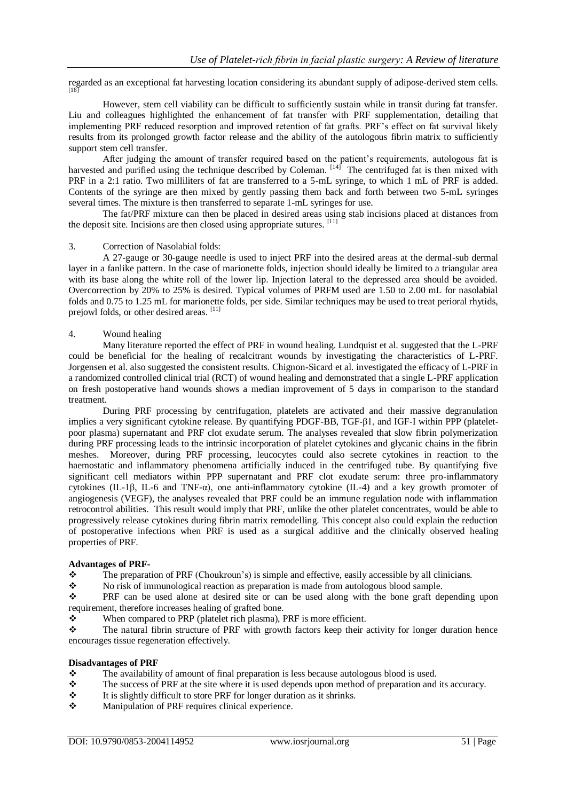regarded as an exceptional fat harvesting location considering its abundant supply of adipose-derived stem cells. [18]

However, stem cell viability can be difficult to sufficiently sustain while in transit during fat transfer. Liu and colleagues highlighted the enhancement of fat transfer with PRF supplementation, detailing that implementing PRF reduced resorption and improved retention of fat grafts. PRF's effect on fat survival likely results from its prolonged growth factor release and the ability of the autologous fibrin matrix to sufficiently support stem cell transfer.

After judging the amount of transfer required based on the patient's requirements, autologous fat is harvested and purified using the technique described by Coleman. [14] The centrifuged fat is then mixed with PRF in a 2:1 ratio. Two milliliters of fat are transferred to a 5-mL syringe, to which 1 mL of PRF is added. Contents of the syringe are then mixed by gently passing them back and forth between two 5-mL syringes several times. The mixture is then transferred to separate 1-mL syringes for use.

The fat/PRF mixture can then be placed in desired areas using stab incisions placed at distances from the deposit site. Incisions are then closed using appropriate sutures. [11]

## 3. Correction of Nasolabial folds:

A 27-gauge or 30-gauge needle is used to inject PRF into the desired areas at the dermal-sub dermal layer in a fanlike pattern. In the case of marionette folds, injection should ideally be limited to a triangular area with its base along the white roll of the lower lip. Injection lateral to the depressed area should be avoided. Overcorrection by 20% to 25% is desired. Typical volumes of PRFM used are 1.50 to 2.00 mL for nasolabial folds and 0.75 to 1.25 mL for marionette folds, per side. Similar techniques may be used to treat perioral rhytids, prejowl folds, or other desired areas. [11]

## 4. Wound healing

Many literature reported the effect of PRF in wound healing. Lundquist et al. suggested that the L-PRF could be beneficial for the healing of recalcitrant wounds by investigating the characteristics of L-PRF. Jorgensen et al. also suggested the consistent results. Chignon-Sicard et al. investigated the efficacy of L-PRF in a randomized controlled clinical trial (RCT) of wound healing and demonstrated that a single L-PRF application on fresh postoperative hand wounds shows a median improvement of 5 days in comparison to the standard treatment.

During PRF processing by centrifugation, platelets are activated and their massive degranulation implies a very significant cytokine release. By quantifying PDGF-BB, TGF-β1, and IGF-I within PPP (plateletpoor plasma) supernatant and PRF clot exudate serum. The analyses revealed that slow fibrin polymerization during PRF processing leads to the intrinsic incorporation of platelet cytokines and glycanic chains in the fibrin meshes. Moreover, during PRF processing, leucocytes could also secrete cytokines in reaction to the haemostatic and inflammatory phenomena artificially induced in the centrifuged tube. By quantifying five significant cell mediators within PPP supernatant and PRF clot exudate serum: three pro-inflammatory cytokines (IL-1β, IL-6 and TNF-α), one anti-inflammatory cytokine (IL-4) and a key growth promoter of angiogenesis (VEGF), the analyses revealed that PRF could be an immune regulation node with inflammation retrocontrol abilities. This result would imply that PRF, unlike the other platelet concentrates, would be able to progressively release cytokines during fibrin matrix remodelling. This concept also could explain the reduction of postoperative infections when PRF is used as a surgical additive and the clinically observed healing properties of PRF.

#### **Advantages of PRF-**

The preparation of PRF (Choukroun's) is simple and effective, easily accessible by all clinicians.

No risk of immunological reaction as preparation is made from autologous blood sample.

 PRF can be used alone at desired site or can be used along with the bone graft depending upon requirement, therefore increases healing of grafted bone.

When compared to PRP (platelet rich plasma), PRF is more efficient.<br>
The natural fibrin structure of PRF with growth factors keep their a

 The natural fibrin structure of PRF with growth factors keep their activity for longer duration hence encourages tissue regeneration effectively.

# **Disadvantages of PRF**

- $\bullet$  The availability of amount of final preparation is less because autologous blood is used.<br>The success of PRF at the site where it is used depends upon method of preparation and
- The success of PRF at the site where it is used depends upon method of preparation and its accuracy.<br>It is slightly difficult to store PRF for longer duration as it shrinks
- $\bullet$  It is slightly difficult to store PRF for longer duration as it shrinks.<br>Manipulation of PRF requires clinical experience.
- Manipulation of PRF requires clinical experience.